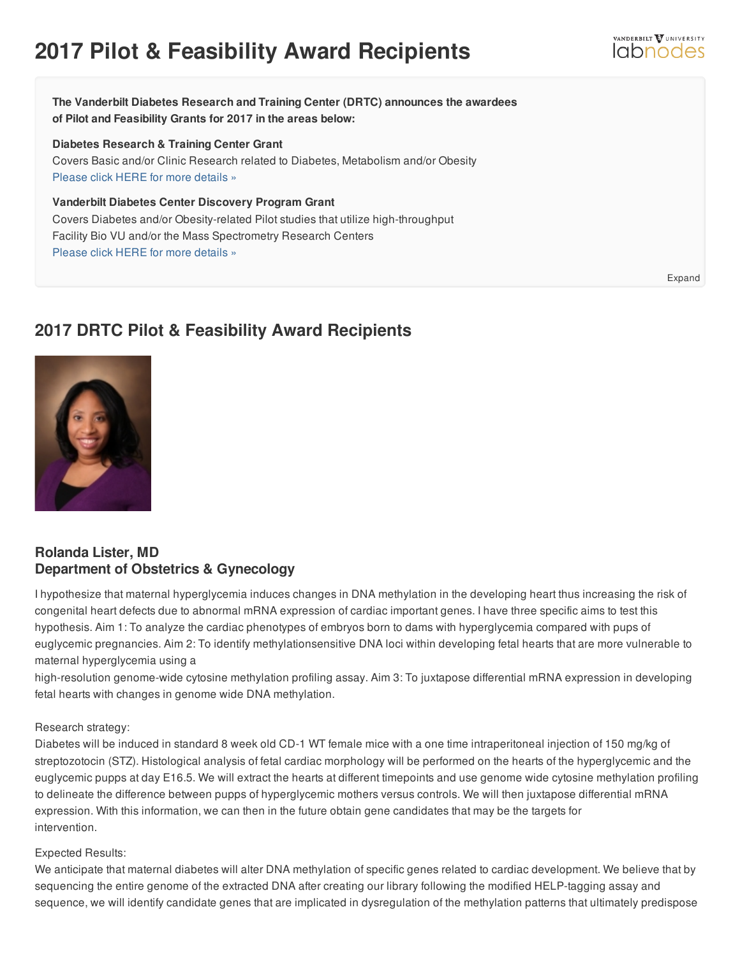# **2017 Pilot & Feasibility Award Recipients**

**The Vanderbilt Diabetes Research and Training Center (DRTC) announces the awardees of Pilot and Feasibility Grants for 2017 in the areas below:**

#### **Diabetes Research & Training Center Grant**

Covers Basic and/or Clinic Research related to Diabetes, Metabolism and/or Obesity [Please](https://labnodes.vanderbilt.edu/resource/view/collection_id/180/community_id/58/id/5547) click HERE for more details »

**Vanderbilt Diabetes Center Discovery Program Grant** Covers Diabetes and/or Obesity-related Pilot studies that utilize high-throughput Facility Bio VU and/or the Mass Spectrometry Research Centers [Please](https://labnodes.vanderbilt.edu/resource/view/id/5546/collection_id/180/community_id/58) click HERE for more details »

## **2017 DRTC Pilot & Feasibility Award Recipients**



## **Rolanda Lister, MD Department of Obstetrics & Gynecology**

I hypothesize that maternal hyperglycemia induces changes in DNA methylation in the developing heart thus increasing the risk of congenital heart defects due to abnormal mRNA expression of cardiac important genes. I have three specific aims to test this hypothesis. Aim 1: To analyze the cardiac phenotypes of embryos born to dams with hyperglycemia compared with pups of euglycemic pregnancies. Aim 2: To identify methylationsensitive DNA loci within developing fetal hearts that are more vulnerable to maternal hyperglycemia using a

high-resolution genome-wide cytosine methylation profiling assay. Aim 3: To juxtapose differential mRNA expression in developing fetal hearts with changes in genome wide DNA methylation.

### Research strategy:

Diabetes will be induced in standard 8 week old CD-1 WT female mice with a one time intraperitoneal injection of 150 mg/kg of streptozotocin (STZ). Histological analysis of fetal cardiac morphology will be performed on the hearts of the hyperglycemic and the euglycemic pupps at day E16.5. We will extract the hearts at different timepoints and use genome wide cytosine methylation profiling to delineate the difference between pupps of hyperglycemic mothers versus controls. We will then juxtapose differential mRNA expression. With this information, we can then in the future obtain gene candidates that may be the targets for intervention.

#### Expected Results:

We anticipate that maternal diabetes will alter DNA methylation of specific genes related to cardiac development. We believe that by sequencing the entire genome of the extracted DNA after creating our library following the modified HELP-tagging assay and sequence, we will identify candidate genes that are implicated in dysregulation of the methylation patterns that ultimately predispose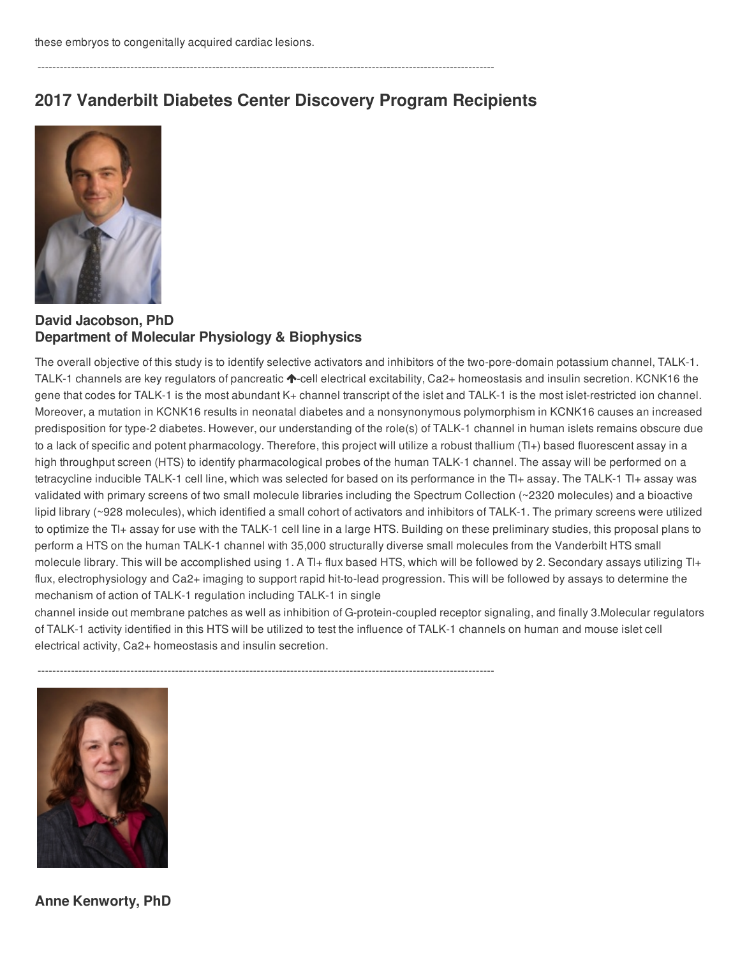**2017 Vanderbilt Diabetes Center Discovery Program Recipients**

---------------------------------------------------------------------------------------------------------------------------



**David Jacobson, PhD Department of Molecular Physiology & Biophysics**

The overall objective of this study is to identify selective activators and inhibitors of the two-pore-domain potassium channel, TALK-1. TALK-1 channels are key regulators of pancreatic  $\blacklozenge$ -cell electrical excitability, Ca2+ homeostasis and insulin secretion. KCNK16 the gene that codes for TALK-1 is the most abundant K+ channel transcript of the islet and TALK-1 is the most islet-restricted ion channel. Moreover, a mutation in KCNK16 results in neonatal diabetes and a nonsynonymous polymorphism in KCNK16 causes an increased predisposition for type-2 diabetes. However, our understanding of the role(s) of TALK-1 channel in human islets remains obscure due to a lack of specific and potent pharmacology. Therefore, this project will utilize a robust thallium (Tl+) based fluorescent assay in a high throughput screen (HTS) to identify pharmacological probes of the human TALK-1 channel. The assay will be performed on a tetracycline inducible TALK-1 cell line, which was selected for based on its performance in the Tl+ assay. The TALK-1 Tl+ assay was validated with primary screens of two small molecule libraries including the Spectrum Collection (~2320 molecules) and a bioactive lipid library (~928 molecules), which identified a small cohort of activators and inhibitors of TALK-1. The primary screens were utilized to optimize the Tl+ assay for use with the TALK-1 cell line in a large HTS. Building on these preliminary studies, this proposal plans to perform a HTS on the human TALK-1 channel with 35,000 structurally diverse small molecules from the Vanderbilt HTS small molecule library. This will be accomplished using 1. A Tl+ flux based HTS, which will be followed by 2. Secondary assays utilizing Tl+ flux, electrophysiology and Ca2+ imaging to support rapid hit-to-lead progression. This will be followed by assays to determine the mechanism of action of TALK-1 regulation including TALK-1 in single

channel inside out membrane patches as well as inhibition of G-protein-coupled receptor signaling, and finally 3.Molecular regulators of TALK-1 activity identified in this HTS will be utilized to test the influence of TALK-1 channels on human and mouse islet cell electrical activity, Ca2+ homeostasis and insulin secretion.



**Anne Kenworty, PhD**